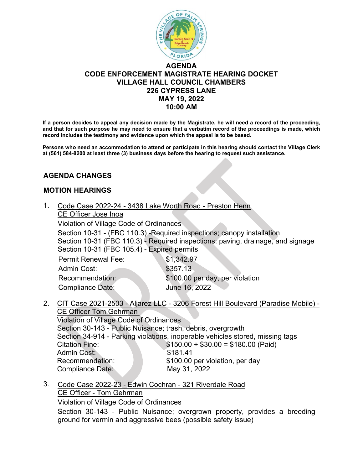

### **AGENDA CODE ENFORCEMENT MAGISTRATE HEARING DOCKET VILLAGE HALL COUNCIL CHAMBERS 226 CYPRESS LANE MAY 19, 2022 10:00 AM**

**If a person decides to appeal any decision made by the Magistrate, he will need a record of the proceeding, and that for such purpose he may need to ensure that a verbatim record of the proceedings is made, which record includes the testimony and evidence upon which the appeal is to be based.** 

**Persons who need an accommodation to attend or participate in this hearing should contact the Village Clerk at (561) 584-8200 at least three (3) business days before the hearing to request such assistance.** 

#### **AGENDA CHANGES**

#### **MOTION HEARINGS**

- 1. Code Case 2022-24 3438 Lake Worth Road Preston Henn
	- CE Officer Jose Inoa

Violation of Village Code of Ordinances

Section 10-31 - (FBC 110.3) -Required inspections; canopy installation Section 10-31 (FBC 110.3) - Required inspections: paving, drainage, and signage Section 10-31 (FBC 105.4) - Expired permits

| \$1,342.97                      |
|---------------------------------|
| \$357.13                        |
| \$100.00 per day, per violation |
| June 16, 2022                   |
|                                 |

2. CIT Case 2021-2503 - Aljarez LLC - 3206 Forest Hill Boulevard (Paradise Mobile) - CE Officer Tom Gehrman

Violation of Village Code of Ordinances Section 30-143 - Public Nuisance; trash, debris, overgrowth Section 34-914 - Parking violations, inoperable vehicles stored, missing tags Citation Fine:  $$150.00 + $30.00 = $180.00$  (Paid) Admin Cost: \$181.41 Recommendation: \$100.00 per violation, per day Compliance Date: May 31, 2022

3. Code Case 2022-23 - Edwin Cochran - 321 Riverdale Road CE Officer - Tom Gehrman

Violation of Village Code of Ordinances

Section 30-143 - Public Nuisance; overgrown property, provides a breeding ground for vermin and aggressive bees (possible safety issue)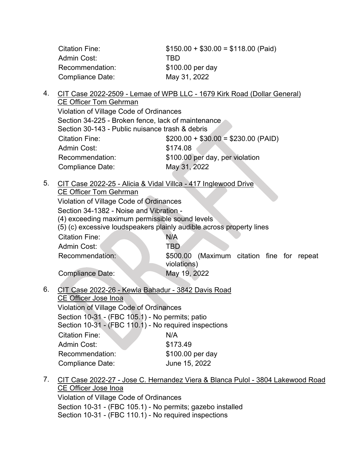| Citation Fine:   | $$150.00 + $30.00 = $118.00$ (Paid) |
|------------------|-------------------------------------|
| Admin Cost:      | TRD                                 |
| Recommendation:  | \$100.00 per day                    |
| Compliance Date: | May 31, 2022                        |

4. CIT Case 2022-2509 - Lemae of WPB LLC - 1679 Kirk Road (Dollar General) CE Officer Tom Gehrman Violation of Village Code of Ordinances

Section 34-225 - Broken fence, lack of maintenance Section 30-143 - Public nuisance trash & debris Citation Fine: \$200.00 + \$30.00 = \$230.00 (PAID) Admin Cost: \$174.08 Recommendation: \$100.00 per day, per violation Compliance Date: May 31, 2022

5. CIT Case 2022-25 - Alicia & Vidal Villca - 417 Inglewood Drive

CE Officer Tom Gehrman

Violation of Village Code of Ordinances

Section 34-1382 - Noise and Vibration -

(4) exceeding maximum permissible sound levels

(5) (c) excessive loudspeakers plainly audible across property lines

| <b>Citation Fine:</b>   | N/A                                                          |
|-------------------------|--------------------------------------------------------------|
| Admin Cost:             | TBD                                                          |
| Recommendation:         | (Maximum citation fine for repeat<br>\$500.00<br>violations) |
| <b>Compliance Date:</b> | May 19, 2022                                                 |

6. CIT Case 2022-26 - Kewla Bahadur - 3842 Davis Road CE Officer Jose Inoa Violation of Village Code of Ordinances

Section 10-31 - (FBC 105.1) - No permits; patio Section 10-31 - (FBC 110.1) - No required inspections Citation Fine: N/A Admin Cost: \$173.49 Recommendation: \$100.00 per day Compliance Date: June 15, 2022

7. CIT Case 2022-27 - Jose C. Hernandez Viera & Blanca Pulol - 3804 Lakewood Road CE Officer Jose Inoa Violation of Village Code of Ordinances

Section 10-31 - (FBC 105.1) - No permits; gazebo installed

Section 10-31 - (FBC 110.1) - No required inspections